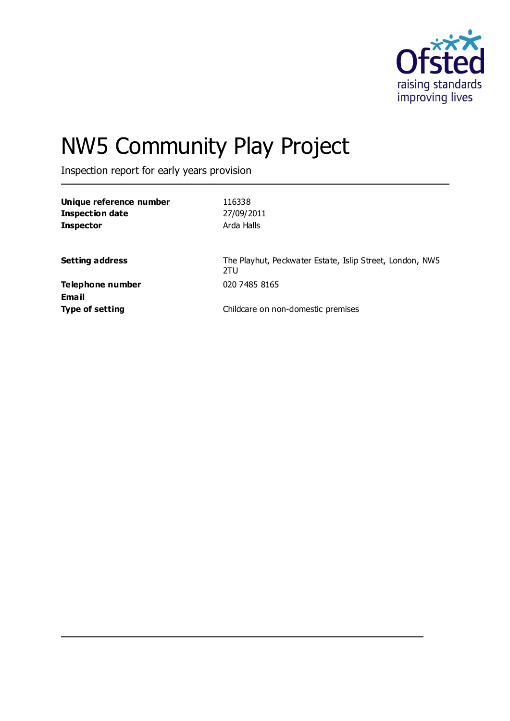

# NW5 Community Play Project

Inspection report for early years provision

| Unique reference number<br><b>Inspection date</b><br><b>Inspector</b> | 116338<br>27/09/2011<br>Arda Halls                              |
|-----------------------------------------------------------------------|-----------------------------------------------------------------|
| <b>Setting address</b>                                                | The Playhut, Peckwater Estate, Islip Street, London, NW5<br>2TU |
| Telephone number<br><b>Email</b>                                      | 020 7485 8165                                                   |
| <b>Type of setting</b>                                                | Childcare on non-domestic premises                              |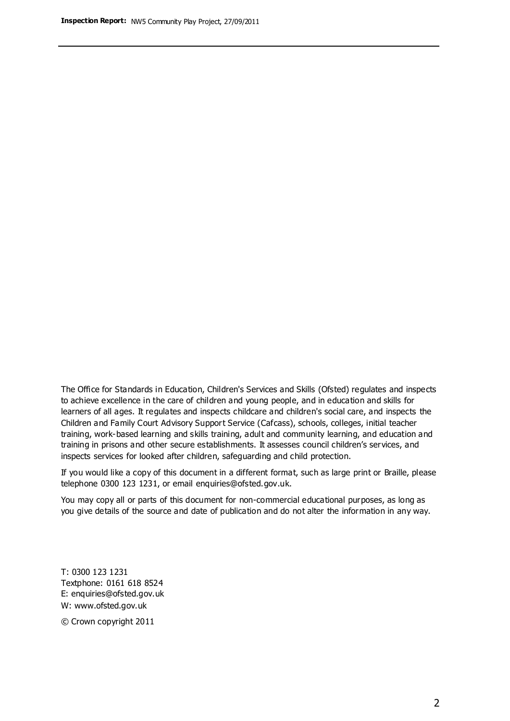The Office for Standards in Education, Children's Services and Skills (Ofsted) regulates and inspects to achieve excellence in the care of children and young people, and in education and skills for learners of all ages. It regulates and inspects childcare and children's social care, and inspects the Children and Family Court Advisory Support Service (Cafcass), schools, colleges, initial teacher training, work-based learning and skills training, adult and community learning, and education and training in prisons and other secure establishments. It assesses council children's services, and inspects services for looked after children, safeguarding and child protection.

If you would like a copy of this document in a different format, such as large print or Braille, please telephone 0300 123 1231, or email enquiries@ofsted.gov.uk.

You may copy all or parts of this document for non-commercial educational purposes, as long as you give details of the source and date of publication and do not alter the information in any way.

T: 0300 123 1231 Textphone: 0161 618 8524 E: enquiries@ofsted.gov.uk W: [www.ofsted.gov.uk](http://www.ofsted.gov.uk/)

© Crown copyright 2011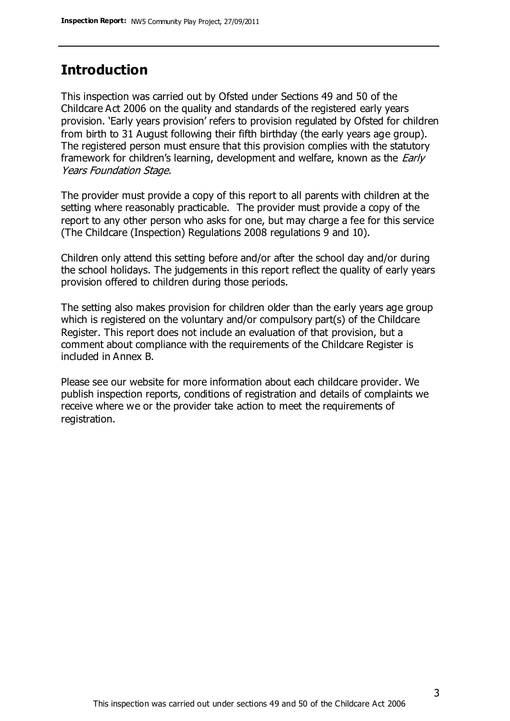## **Introduction**

This inspection was carried out by Ofsted under Sections 49 and 50 of the Childcare Act 2006 on the quality and standards of the registered early years provision. 'Early years provision' refers to provision regulated by Ofsted for children from birth to 31 August following their fifth birthday (the early years age group). The registered person must ensure that this provision complies with the statutory framework for children's learning, development and welfare, known as the *Early* Years Foundation Stage.

The provider must provide a copy of this report to all parents with children at the setting where reasonably practicable. The provider must provide a copy of the report to any other person who asks for one, but may charge a fee for this service (The Childcare (Inspection) Regulations 2008 regulations 9 and 10).

Children only attend this setting before and/or after the school day and/or during the school holidays. The judgements in this report reflect the quality of early years provision offered to children during those periods.

The setting also makes provision for children older than the early years age group which is registered on the voluntary and/or compulsory part(s) of the Childcare Register. This report does not include an evaluation of that provision, but a comment about compliance with the requirements of the Childcare Register is included in Annex B.

Please see our website for more information about each childcare provider. We publish inspection reports, conditions of registration and details of complaints we receive where we or the provider take action to meet the requirements of registration.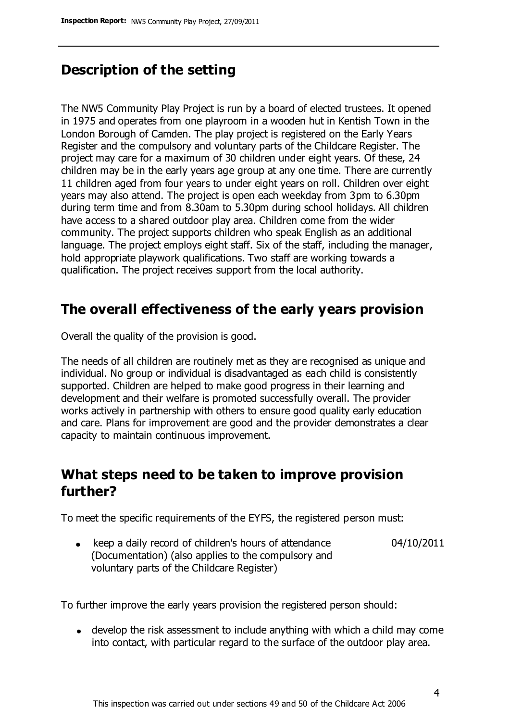# **Description of the setting**

The NW5 Community Play Project is run by a board of elected trustees. It opened in 1975 and operates from one playroom in a wooden hut in Kentish Town in the London Borough of Camden. The play project is registered on the Early Years Register and the compulsory and voluntary parts of the Childcare Register. The project may care for a maximum of 30 children under eight years. Of these, 24 children may be in the early years age group at any one time. There are currently 11 children aged from four years to under eight years on roll. Children over eight years may also attend. The project is open each weekday from 3pm to 6.30pm during term time and from 8.30am to 5.30pm during school holidays. All children have access to a shared outdoor play area. Children come from the wider community. The project supports children who speak English as an additional language. The project employs eight staff. Six of the staff, including the manager, hold appropriate playwork qualifications. Two staff are working towards a qualification. The project receives support from the local authority.

# **The overall effectiveness of the early years provision**

Overall the quality of the provision is good.

The needs of all children are routinely met as they are recognised as unique and individual. No group or individual is disadvantaged as each child is consistently supported. Children are helped to make good progress in their learning and development and their welfare is promoted successfully overall. The provider works actively in partnership with others to ensure good quality early education and care. Plans for improvement are good and the provider demonstrates a clear capacity to maintain continuous improvement.

# **What steps need to be taken to improve provision further?**

To meet the specific requirements of the EYFS, the registered person must:

• keep a daily record of children's hours of attendance (Documentation) (also applies to the compulsory and voluntary parts of the Childcare Register) 04/10/2011

To further improve the early years provision the registered person should:

develop the risk assessment to include anything with which a child may come into contact, with particular regard to the surface of the outdoor play area.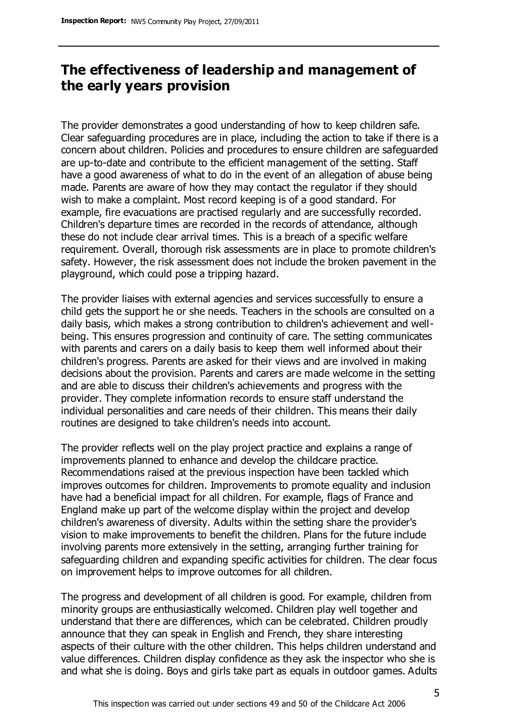# **The effectiveness of leadership and management of the early years provision**

The provider demonstrates a good understanding of how to keep children safe. Clear safeguarding procedures are in place, including the action to take if there is a concern about children. Policies and procedures to ensure children are safeguarded are up-to-date and contribute to the efficient management of the setting. Staff have a good awareness of what to do in the event of an allegation of abuse being made. Parents are aware of how they may contact the regulator if they should wish to make a complaint. Most record keeping is of a good standard. For example, fire evacuations are practised regularly and are successfully recorded. Children's departure times are recorded in the records of attendance, although these do not include clear arrival times. This is a breach of a specific welfare requirement. Overall, thorough risk assessments are in place to promote children's safety. However, the risk assessment does not include the broken pavement in the playground, which could pose a tripping hazard.

The provider liaises with external agencies and services successfully to ensure a child gets the support he or she needs. Teachers in the schools are consulted on a daily basis, which makes a strong contribution to children's achievement and wellbeing. This ensures progression and continuity of care. The setting communicates with parents and carers on a daily basis to keep them well informed about their children's progress. Parents are asked for their views and are involved in making decisions about the provision. Parents and carers are made welcome in the setting and are able to discuss their children's achievements and progress with the provider. They complete information records to ensure staff understand the individual personalities and care needs of their children. This means their daily routines are designed to take children's needs into account.

The provider reflects well on the play project practice and explains a range of improvements planned to enhance and develop the childcare practice. Recommendations raised at the previous inspection have been tackled which improves outcomes for children. Improvements to promote equality and inclusion have had a beneficial impact for all children. For example, flags of France and England make up part of the welcome display within the project and develop children's awareness of diversity. Adults within the setting share the provider's vision to make improvements to benefit the children. Plans for the future include involving parents more extensively in the setting, arranging further training for safeguarding children and expanding specific activities for children. The clear focus on improvement helps to improve outcomes for all children.

The progress and development of all children is good. For example, children from minority groups are enthusiastically welcomed. Children play well together and understand that there are differences, which can be celebrated. Children proudly announce that they can speak in English and French, they share interesting aspects of their culture with the other children. This helps children understand and value differences. Children display confidence as they ask the inspector who she is and what she is doing. Boys and girls take part as equals in outdoor games. Adults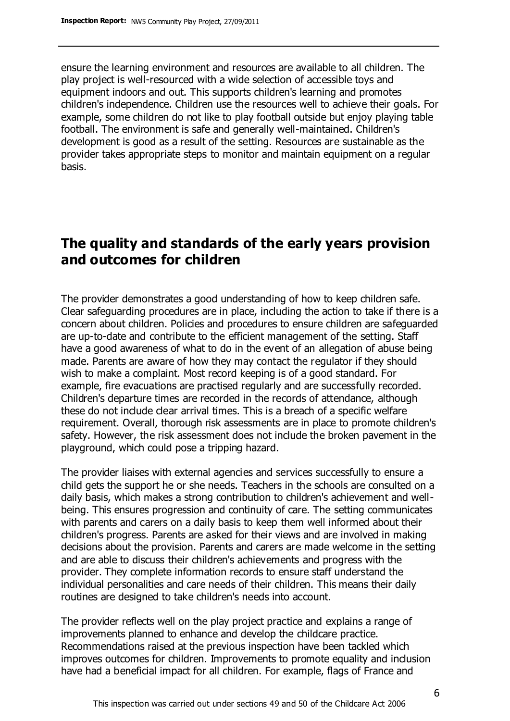ensure the learning environment and resources are available to all children. The play project is well-resourced with a wide selection of accessible toys and equipment indoors and out. This supports children's learning and promotes children's independence. Children use the resources well to achieve their goals. For example, some children do not like to play football outside but enjoy playing table football. The environment is safe and generally well-maintained. Children's development is good as a result of the setting. Resources are sustainable as the provider takes appropriate steps to monitor and maintain equipment on a regular basis.

# **The quality and standards of the early years provision and outcomes for children**

The provider demonstrates a good understanding of how to keep children safe. Clear safeguarding procedures are in place, including the action to take if there is a concern about children. Policies and procedures to ensure children are safeguarded are up-to-date and contribute to the efficient management of the setting. Staff have a good awareness of what to do in the event of an allegation of abuse being made. Parents are aware of how they may contact the regulator if they should wish to make a complaint. Most record keeping is of a good standard. For example, fire evacuations are practised regularly and are successfully recorded. Children's departure times are recorded in the records of attendance, although these do not include clear arrival times. This is a breach of a specific welfare requirement. Overall, thorough risk assessments are in place to promote children's safety. However, the risk assessment does not include the broken pavement in the playground, which could pose a tripping hazard.

The provider liaises with external agencies and services successfully to ensure a child gets the support he or she needs. Teachers in the schools are consulted on a daily basis, which makes a strong contribution to children's achievement and wellbeing. This ensures progression and continuity of care. The setting communicates with parents and carers on a daily basis to keep them well informed about their children's progress. Parents are asked for their views and are involved in making decisions about the provision. Parents and carers are made welcome in the setting and are able to discuss their children's achievements and progress with the provider. They complete information records to ensure staff understand the individual personalities and care needs of their children. This means their daily routines are designed to take children's needs into account.

The provider reflects well on the play project practice and explains a range of improvements planned to enhance and develop the childcare practice. Recommendations raised at the previous inspection have been tackled which improves outcomes for children. Improvements to promote equality and inclusion have had a beneficial impact for all children. For example, flags of France and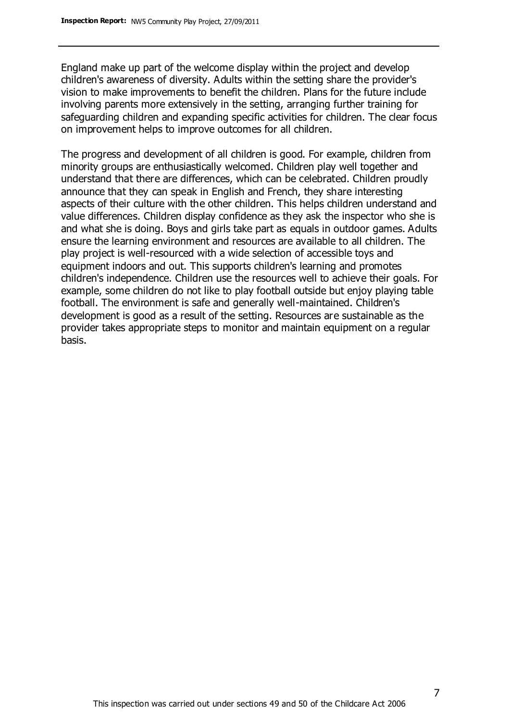England make up part of the welcome display within the project and develop children's awareness of diversity. Adults within the setting share the provider's vision to make improvements to benefit the children. Plans for the future include involving parents more extensively in the setting, arranging further training for safeguarding children and expanding specific activities for children. The clear focus on improvement helps to improve outcomes for all children.

The progress and development of all children is good. For example, children from minority groups are enthusiastically welcomed. Children play well together and understand that there are differences, which can be celebrated. Children proudly announce that they can speak in English and French, they share interesting aspects of their culture with the other children. This helps children understand and value differences. Children display confidence as they ask the inspector who she is and what she is doing. Boys and girls take part as equals in outdoor games. Adults ensure the learning environment and resources are available to all children. The play project is well-resourced with a wide selection of accessible toys and equipment indoors and out. This supports children's learning and promotes children's independence. Children use the resources well to achieve their goals. For example, some children do not like to play football outside but enjoy playing table football. The environment is safe and generally well-maintained. Children's development is good as a result of the setting. Resources are sustainable as the provider takes appropriate steps to monitor and maintain equipment on a regular basis.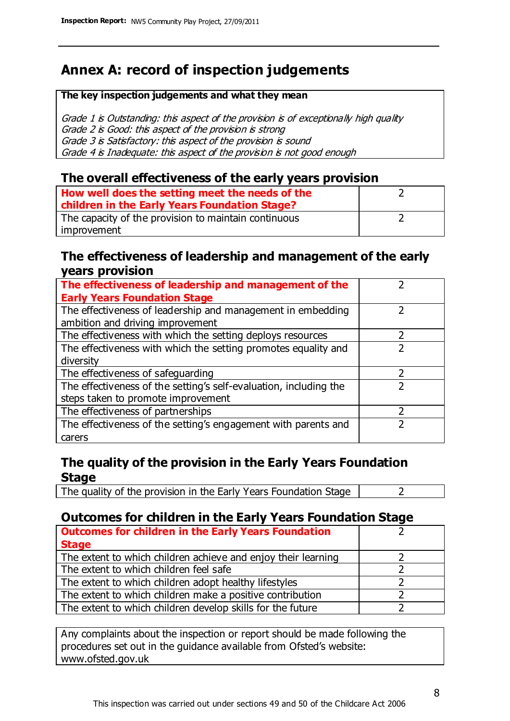# **Annex A: record of inspection judgements**

#### **The key inspection judgements and what they mean**

Grade 1 is Outstanding: this aspect of the provision is of exceptionally high quality Grade 2 is Good: this aspect of the provision is strong Grade 3 is Satisfactory: this aspect of the provision is sound Grade 4 is Inadequate: this aspect of the provision is not good enough

## **The overall effectiveness of the early years provision**

| How well does the setting meet the needs of the      |  |
|------------------------------------------------------|--|
| children in the Early Years Foundation Stage?        |  |
| The capacity of the provision to maintain continuous |  |
| improvement                                          |  |

## **The effectiveness of leadership and management of the early years provision**

| The effectiveness of leadership and management of the             |   |
|-------------------------------------------------------------------|---|
| <b>Early Years Foundation Stage</b>                               |   |
| The effectiveness of leadership and management in embedding       |   |
| ambition and driving improvement                                  |   |
| The effectiveness with which the setting deploys resources        |   |
| The effectiveness with which the setting promotes equality and    |   |
| diversity                                                         |   |
| The effectiveness of safeguarding                                 | 7 |
| The effectiveness of the setting's self-evaluation, including the |   |
| steps taken to promote improvement                                |   |
| The effectiveness of partnerships                                 |   |
| The effectiveness of the setting's engagement with parents and    |   |
| carers                                                            |   |

## **The quality of the provision in the Early Years Foundation Stage**

The quality of the provision in the Early Years Foundation Stage  $\vert$  2

## **Outcomes for children in the Early Years Foundation Stage**

| <b>Outcomes for children in the Early Years Foundation</b>    |  |
|---------------------------------------------------------------|--|
| <b>Stage</b>                                                  |  |
| The extent to which children achieve and enjoy their learning |  |
| The extent to which children feel safe                        |  |
| The extent to which children adopt healthy lifestyles         |  |
| The extent to which children make a positive contribution     |  |
| The extent to which children develop skills for the future    |  |

Any complaints about the inspection or report should be made following the procedures set out in the guidance available from Ofsted's website: www.ofsted.gov.uk